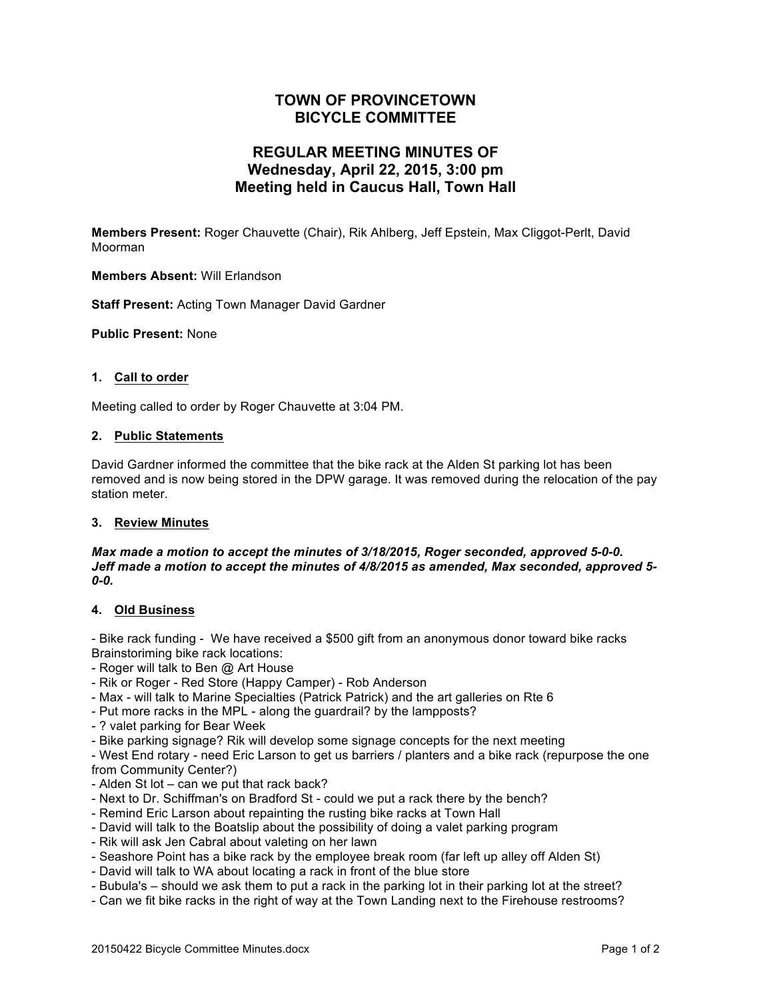# **TOWN OF PROVINCETOWN BICYCLE COMMITTEE**

# **REGULAR MEETING MINUTES OF Wednesday, April 22, 2015, 3:00 pm Meeting held in Caucus Hall, Town Hall**

**Members Present:** Roger Chauvette (Chair), Rik Ahlberg, Jeff Epstein, Max Cliggot-Perlt, David Moorman

**Members Absent:** Will Erlandson

**Staff Present:** Acting Town Manager David Gardner

**Public Present:** None

#### **1. Call to order**

Meeting called to order by Roger Chauvette at 3:04 PM.

# **2. Public Statements**

David Gardner informed the committee that the bike rack at the Alden St parking lot has been removed and is now being stored in the DPW garage. It was removed during the relocation of the pay station meter.

#### **3. Review Minutes**

#### *Max made a motion to accept the minutes of 3/18/2015, Roger seconded, approved 5-0-0. Jeff made a motion to accept the minutes of 4/8/2015 as amended, Max seconded, approved 5- 0-0.*

#### **4. Old Business**

- Bike rack funding - We have received a \$500 gift from an anonymous donor toward bike racks Brainstoriming bike rack locations:

- Roger will talk to Ben @ Art House
- Rik or Roger Red Store (Happy Camper) Rob Anderson
- Max will talk to Marine Specialties (Patrick Patrick) and the art galleries on Rte 6
- Put more racks in the MPL along the guardrail? by the lampposts?
- ? valet parking for Bear Week
- Bike parking signage? Rik will develop some signage concepts for the next meeting

- West End rotary - need Eric Larson to get us barriers / planters and a bike rack (repurpose the one from Community Center?)

- Alden St lot can we put that rack back?
- Next to Dr. Schiffman's on Bradford St could we put a rack there by the bench?
- Remind Eric Larson about repainting the rusting bike racks at Town Hall
- David will talk to the Boatslip about the possibility of doing a valet parking program
- Rik will ask Jen Cabral about valeting on her lawn
- Seashore Point has a bike rack by the employee break room (far left up alley off Alden St)
- David will talk to WA about locating a rack in front of the blue store
- Bubula's should we ask them to put a rack in the parking lot in their parking lot at the street?
- Can we fit bike racks in the right of way at the Town Landing next to the Firehouse restrooms?